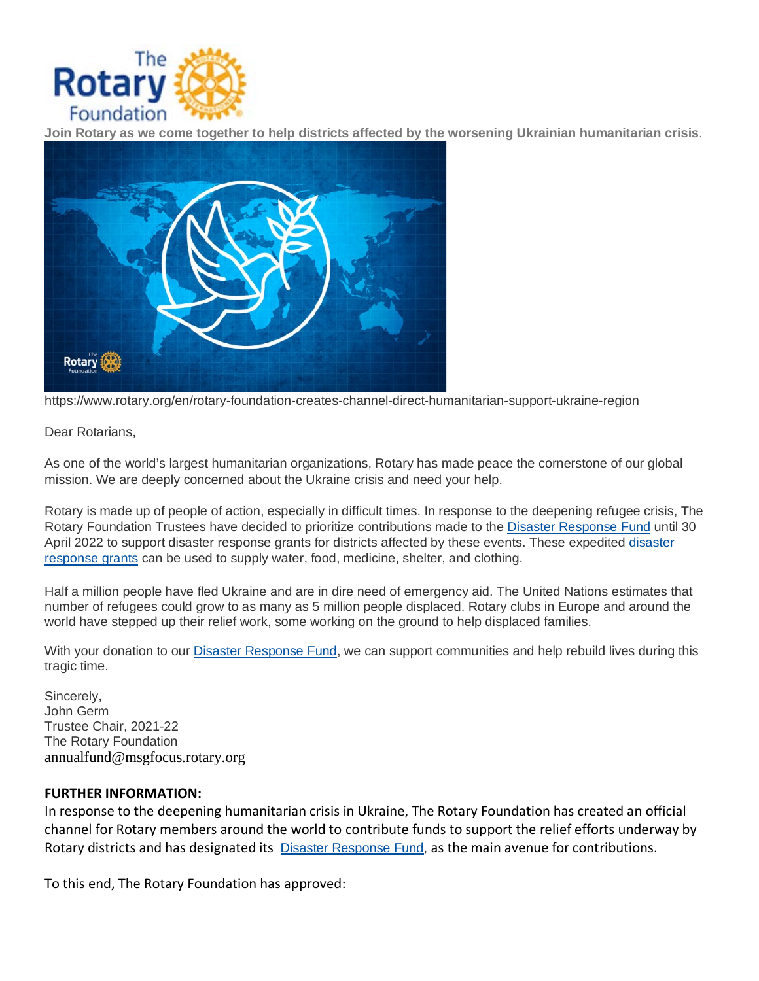

**Join Rotary as we come together to help districts affected by the worsening Ukrainian humanitarian crisis**.



https://www.rotary.org/en/rotary-foundation-creates-channel-direct-humanitarian-support-ukraine-region

Dear Rotarians,

As one of the world's largest humanitarian organizations, Rotary has made peace the cornerstone of our global mission. We are deeply concerned about the Ukraine crisis and need your help.

Rotary is made up of people of action, especially in difficult times. In response to the deepening refugee crisis, The Rotary Foundation Trustees have decided to prioritize contributions made to the [Disaster Response Fund](https://msgfocus.rotary.org/c/13VPdS9nfcBDBs3HmdlPP64ZSmZv) until 30 April 2022 to support disaster response grants for districts affected by these events. These expedited [disaster](https://msgfocus.rotary.org/c/13VPdTx1arGv5ZRkpQ2SCQtz858O)  [response grants](https://msgfocus.rotary.org/c/13VPdTx1arGv5ZRkpQ2SCQtz858O) can be used to supply water, food, medicine, shelter, and clothing.

Half a million people have fled Ukraine and are in dire need of emergency aid. The United Nations estimates that number of refugees could grow to as many as 5 million people displaced. Rotary clubs in Europe and around the world have stepped up their relief work, some working on the ground to help displaced families.

With your donation to our [Disaster Response Fund,](https://msgfocus.rotary.org/c/13VPdUUF5GLmAxEXtsJVqAS8nNi7) we can support communities and help rebuild lives during this tragic time.

Sincerely, John Germ Trustee Chair, 2021-22 The Rotary Foundation annualfund@msgfocus.rotary.org

## **FURTHER INFORMATION:**

In response to the deepening humanitarian crisis in Ukraine, The Rotary Foundation has created an official channel for Rotary members around the world to contribute funds to support the relief efforts underway by Rotary districts and has designated its [Disaster Response Fund,](https://msgfocus.rotary.org/c/13VPdUUF5GLmAxEXtsJVqAS8nNi7) as the main avenue for contributions.

To this end, The Rotary Foundation has approved: